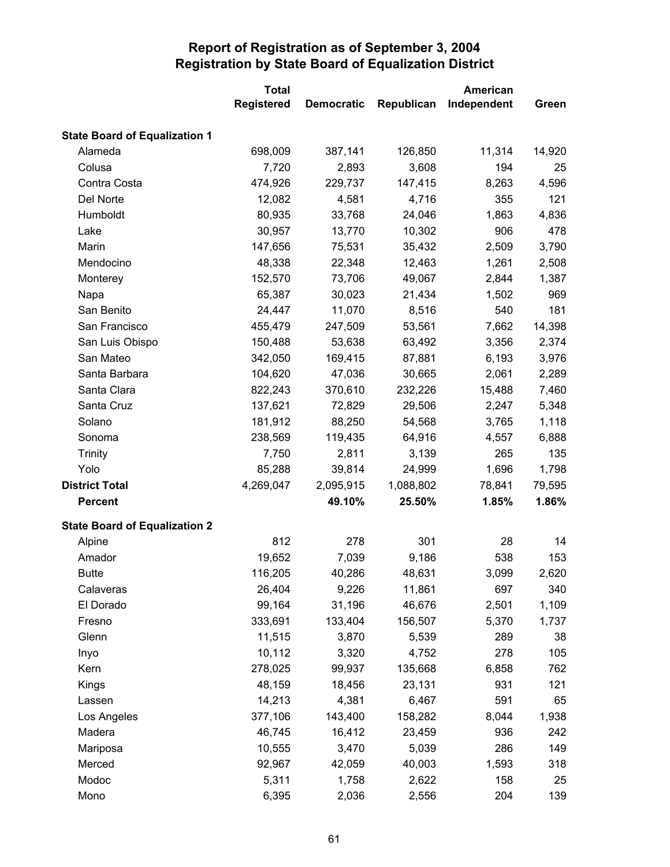|                                      | <b>Total</b><br>American |                   |            |             |        |
|--------------------------------------|--------------------------|-------------------|------------|-------------|--------|
|                                      | <b>Registered</b>        | <b>Democratic</b> | Republican | Independent | Green  |
| <b>State Board of Equalization 1</b> |                          |                   |            |             |        |
| Alameda                              | 698,009                  | 387,141           | 126,850    | 11,314      | 14,920 |
| Colusa                               | 7,720                    | 2,893             | 3,608      | 194         | 25     |
| Contra Costa                         | 474,926                  | 229,737           | 147,415    | 8,263       | 4,596  |
| Del Norte                            | 12,082                   | 4,581             | 4,716      | 355         | 121    |
| Humboldt                             | 80,935                   | 33,768            | 24,046     | 1,863       | 4,836  |
| Lake                                 | 30,957                   | 13,770            | 10,302     | 906         | 478    |
| Marin                                | 147,656                  | 75,531            | 35,432     | 2,509       | 3,790  |
| Mendocino                            | 48,338                   | 22,348            | 12,463     | 1,261       | 2,508  |
| Monterey                             | 152,570                  | 73,706            | 49,067     | 2,844       | 1,387  |
| Napa                                 | 65,387                   | 30,023            | 21,434     | 1,502       | 969    |
| San Benito                           | 24,447                   | 11,070            | 8,516      | 540         | 181    |
| San Francisco                        | 455,479                  | 247,509           | 53,561     | 7,662       | 14,398 |
| San Luis Obispo                      | 150,488                  | 53,638            | 63,492     | 3,356       | 2,374  |
| San Mateo                            | 342,050                  | 169,415           | 87,881     | 6,193       | 3,976  |
| Santa Barbara                        | 104,620                  | 47,036            | 30,665     | 2,061       | 2,289  |
| Santa Clara                          | 822,243                  | 370,610           | 232,226    | 15,488      | 7,460  |
| Santa Cruz                           | 137,621                  | 72,829            | 29,506     | 2,247       | 5,348  |
| Solano                               | 181,912                  | 88,250            | 54,568     | 3,765       | 1,118  |
| Sonoma                               | 238,569                  | 119,435           | 64,916     | 4,557       | 6,888  |
| <b>Trinity</b>                       | 7,750                    | 2,811             | 3,139      | 265         | 135    |
| Yolo                                 | 85,288                   | 39,814            | 24,999     | 1,696       | 1,798  |
| <b>District Total</b>                | 4,269,047                | 2,095,915         | 1,088,802  | 78,841      | 79,595 |
| <b>Percent</b>                       |                          | 49.10%            | 25.50%     | 1.85%       | 1.86%  |
| <b>State Board of Equalization 2</b> |                          |                   |            |             |        |
| Alpine                               | 812                      | 278               | 301        | 28          | 14     |
| Amador                               | 19,652                   | 7,039             | 9,186      | 538         | 153    |
| <b>Butte</b>                         | 116,205                  | 40,286            | 48,631     | 3,099       | 2,620  |
| Calaveras                            | 26,404                   | 9,226             | 11,861     | 697         | 340    |
| El Dorado                            | 99,164                   | 31,196            | 46,676     | 2,501       | 1,109  |
| Fresno                               | 333,691                  | 133,404           | 156,507    | 5,370       | 1,737  |
| Glenn                                | 11,515                   | 3,870             | 5,539      | 289         | 38     |
| Inyo                                 | 10,112                   | 3,320             | 4,752      | 278         | 105    |
| Kern                                 | 278,025                  | 99,937            | 135,668    | 6,858       | 762    |
| Kings                                | 48,159                   | 18,456            | 23,131     | 931         | 121    |
| Lassen                               | 14,213                   | 4,381             | 6,467      | 591         | 65     |
| Los Angeles                          | 377,106                  | 143,400           | 158,282    | 8,044       | 1,938  |
| Madera                               | 46,745                   | 16,412            | 23,459     | 936         | 242    |
| Mariposa                             | 10,555                   | 3,470             | 5,039      | 286         | 149    |
| Merced                               | 92,967                   | 42,059            | 40,003     | 1,593       | 318    |
| Modoc                                | 5,311                    | 1,758             | 2,622      | 158         | 25     |
| Mono                                 | 6,395                    | 2,036             | 2,556      | 204         | 139    |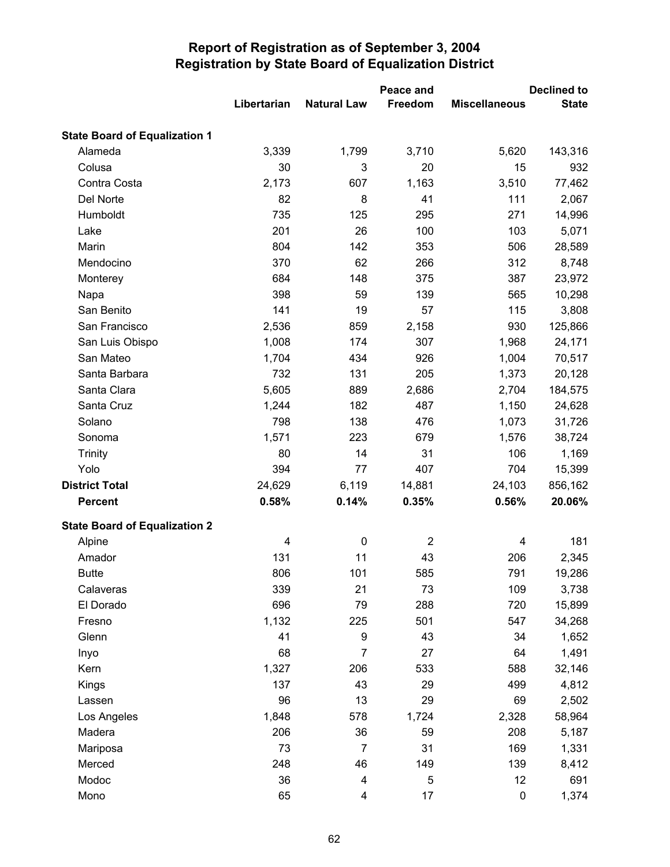|                                      |             |                         | Peace and      |                      | <b>Declined to</b> |
|--------------------------------------|-------------|-------------------------|----------------|----------------------|--------------------|
|                                      | Libertarian | <b>Natural Law</b>      | Freedom        | <b>Miscellaneous</b> | <b>State</b>       |
| <b>State Board of Equalization 1</b> |             |                         |                |                      |                    |
| Alameda                              | 3,339       | 1,799                   | 3,710          | 5,620                | 143,316            |
| Colusa                               | 30          | 3                       | 20             | 15                   | 932                |
| Contra Costa                         | 2,173       | 607                     | 1,163          | 3,510                | 77,462             |
| Del Norte                            | 82          | 8                       | 41             | 111                  | 2,067              |
| Humboldt                             | 735         | 125                     | 295            | 271                  | 14,996             |
| Lake                                 | 201         | 26                      | 100            | 103                  | 5,071              |
| Marin                                | 804         | 142                     | 353            | 506                  | 28,589             |
| Mendocino                            | 370         | 62                      | 266            | 312                  | 8,748              |
| Monterey                             | 684         | 148                     | 375            | 387                  | 23,972             |
| Napa                                 | 398         | 59                      | 139            | 565                  | 10,298             |
| San Benito                           | 141         | 19                      | 57             | 115                  | 3,808              |
| San Francisco                        | 2,536       | 859                     | 2,158          | 930                  | 125,866            |
| San Luis Obispo                      | 1,008       | 174                     | 307            | 1,968                | 24,171             |
| San Mateo                            | 1,704       | 434                     | 926            | 1,004                | 70,517             |
| Santa Barbara                        | 732         | 131                     | 205            | 1,373                | 20,128             |
| Santa Clara                          | 5,605       | 889                     | 2,686          | 2,704                | 184,575            |
| Santa Cruz                           | 1,244       | 182                     | 487            | 1,150                | 24,628             |
| Solano                               | 798         | 138                     | 476            | 1,073                | 31,726             |
| Sonoma                               | 1,571       | 223                     | 679            | 1,576                | 38,724             |
| <b>Trinity</b>                       | 80          | 14                      | 31             | 106                  | 1,169              |
| Yolo                                 | 394         | 77                      | 407            | 704                  | 15,399             |
| <b>District Total</b>                | 24,629      | 6,119                   | 14,881         | 24,103               | 856,162            |
| <b>Percent</b>                       | 0.58%       | 0.14%                   | 0.35%          | 0.56%                | 20.06%             |
| <b>State Board of Equalization 2</b> |             |                         |                |                      |                    |
| Alpine                               | 4           | 0                       | $\overline{2}$ | 4                    | 181                |
| Amador                               | 131         | 11                      | 43             | 206                  | 2,345              |
| <b>Butte</b>                         | 806         | 101                     | 585            | 791                  | 19,286             |
| Calaveras                            | 339         | 21                      | 73             | 109                  | 3,738              |
| El Dorado                            | 696         | 79                      | 288            | 720                  | 15,899             |
| Fresno                               | 1,132       | 225                     | 501            | 547                  | 34,268             |
| Glenn                                | 41          | 9                       | 43             | 34                   | 1,652              |
| Inyo                                 | 68          | 7                       | 27             | 64                   | 1,491              |
| Kern                                 | 1,327       | 206                     | 533            | 588                  | 32,146             |
| <b>Kings</b>                         | 137         | 43                      | 29             | 499                  | 4,812              |
| Lassen                               | 96          | 13                      | 29             | 69                   | 2,502              |
| Los Angeles                          | 1,848       | 578                     | 1,724          | 2,328                | 58,964             |
| Madera                               | 206         | 36                      | 59             | 208                  | 5,187              |
| Mariposa                             | 73          | $\overline{7}$          | 31             | 169                  | 1,331              |
| Merced                               | 248         | 46                      | 149            | 139                  | 8,412              |
| Modoc                                | 36          | $\overline{\mathbf{4}}$ | 5              | 12                   | 691                |
| Mono                                 | 65          | 4                       | 17             | $\pmb{0}$            | 1,374              |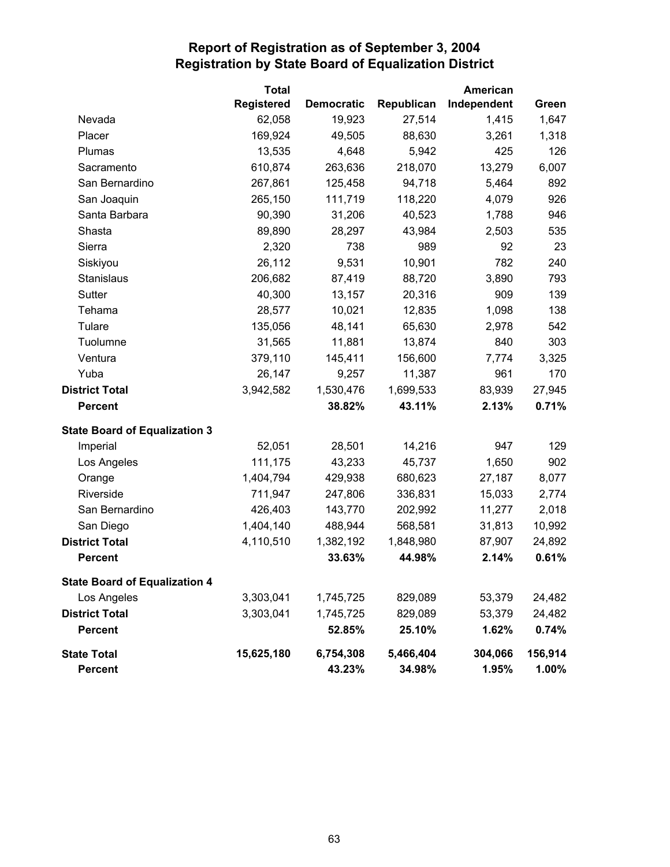|                                      | <b>Total</b>      |                   |            | American    |         |
|--------------------------------------|-------------------|-------------------|------------|-------------|---------|
|                                      | <b>Registered</b> | <b>Democratic</b> | Republican | Independent | Green   |
| Nevada                               | 62,058            | 19,923            | 27,514     | 1,415       | 1,647   |
| Placer                               | 169,924           | 49,505            | 88,630     | 3,261       | 1,318   |
| Plumas                               | 13,535            | 4,648             | 5,942      | 425         | 126     |
| Sacramento                           | 610,874           | 263,636           | 218,070    | 13,279      | 6,007   |
| San Bernardino                       | 267,861           | 125,458           | 94,718     | 5,464       | 892     |
| San Joaquin                          | 265,150           | 111,719           | 118,220    | 4,079       | 926     |
| Santa Barbara                        | 90,390            | 31,206            | 40,523     | 1,788       | 946     |
| Shasta                               | 89,890            | 28,297            | 43,984     | 2,503       | 535     |
| Sierra                               | 2,320             | 738               | 989        | 92          | 23      |
| Siskiyou                             | 26,112            | 9,531             | 10,901     | 782         | 240     |
| <b>Stanislaus</b>                    | 206,682           | 87,419            | 88,720     | 3,890       | 793     |
| Sutter                               | 40,300            | 13,157            | 20,316     | 909         | 139     |
| Tehama                               | 28,577            | 10,021            | 12,835     | 1,098       | 138     |
| Tulare                               | 135,056           | 48,141            | 65,630     | 2,978       | 542     |
| Tuolumne                             | 31,565            | 11,881            | 13,874     | 840         | 303     |
| Ventura                              | 379,110           | 145,411           | 156,600    | 7,774       | 3,325   |
| Yuba                                 | 26,147            | 9,257             | 11,387     | 961         | 170     |
| <b>District Total</b>                | 3,942,582         | 1,530,476         | 1,699,533  | 83,939      | 27,945  |
| <b>Percent</b>                       |                   | 38.82%            | 43.11%     | 2.13%       | 0.71%   |
| <b>State Board of Equalization 3</b> |                   |                   |            |             |         |
| Imperial                             | 52,051            | 28,501            | 14,216     | 947         | 129     |
| Los Angeles                          | 111,175           | 43,233            | 45,737     | 1,650       | 902     |
| Orange                               | 1,404,794         | 429,938           | 680,623    | 27,187      | 8,077   |
| Riverside                            | 711,947           | 247,806           | 336,831    | 15,033      | 2,774   |
| San Bernardino                       | 426,403           | 143,770           | 202,992    | 11,277      | 2,018   |
| San Diego                            | 1,404,140         | 488,944           | 568,581    | 31,813      | 10,992  |
| <b>District Total</b>                | 4,110,510         | 1,382,192         | 1,848,980  | 87,907      | 24,892  |
| <b>Percent</b>                       |                   | 33.63%            | 44.98%     | 2.14%       | 0.61%   |
| <b>State Board of Equalization 4</b> |                   |                   |            |             |         |
| Los Angeles                          | 3,303,041         | 1,745,725         | 829,089    | 53,379      | 24,482  |
| <b>District Total</b>                | 3,303,041         | 1,745,725         | 829,089    | 53,379      | 24,482  |
| <b>Percent</b>                       |                   | 52.85%            | 25.10%     | 1.62%       | 0.74%   |
| <b>State Total</b>                   | 15,625,180        | 6,754,308         | 5,466,404  | 304,066     | 156,914 |
| Percent                              |                   | 43.23%            | 34.98%     | 1.95%       | 1.00%   |